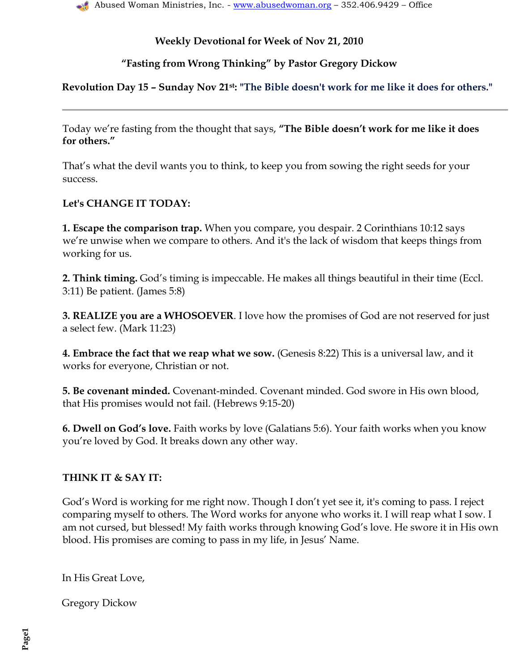**―Fasting from Wrong Thinking‖ by Pastor Gregory Dickow**

**Revolution Day 15 – Sunday Nov 21st: "The Bible doesn't work for me like it does for others."**

Today we're fasting from the thought that says, "The Bible doesn't work for me like it does **for others.‖**

That"s what the devil wants you to think, to keep you from sowing the right seeds for your success.

# **Let's CHANGE IT TODAY:**

**1. Escape the comparison trap.** When you compare, you despair. 2 Corinthians 10:12 says we"re unwise when we compare to others. And it's the lack of wisdom that keeps things from working for us.

**2. Think timing.** God"s timing is impeccable. He makes all things beautiful in their time (Eccl. 3:11) Be patient. (James 5:8)

**3. REALIZE you are a WHOSOEVER**. I love how the promises of God are not reserved for just a select few. (Mark 11:23)

**4. Embrace the fact that we reap what we sow.** (Genesis 8:22) This is a universal law, and it works for everyone, Christian or not.

**5. Be covenant minded.** Covenant-minded. Covenant minded. God swore in His own blood, that His promises would not fail. (Hebrews 9:15-20)

**6. Dwell on God's love.** Faith works by love (Galatians 5:6). Your faith works when you know you"re loved by God. It breaks down any other way.

# **THINK IT & SAY IT:**

God's Word is working for me right now. Though I don't yet see it, it's coming to pass. I reject comparing myself to others. The Word works for anyone who works it. I will reap what I sow. I am not cursed, but blessed! My faith works through knowing God"s love. He swore it in His own blood. His promises are coming to pass in my life, in Jesus" Name.

In His Great Love,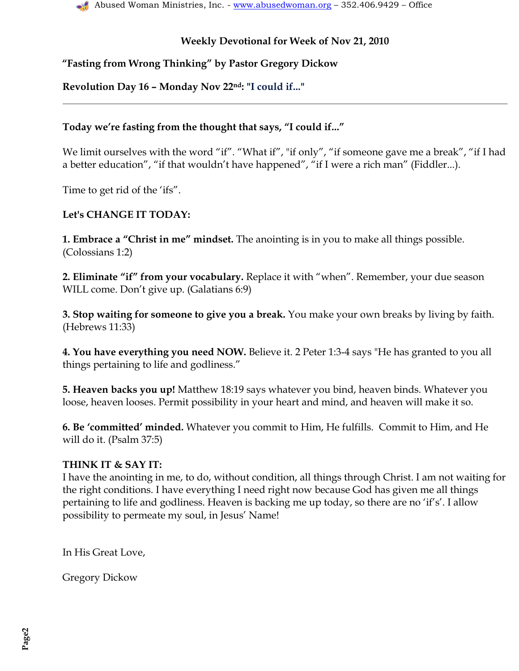### **―Fasting from Wrong Thinking‖ by Pastor Gregory Dickow**

### **Revolution Day 16 – Monday Nov 22nd: "I could if..."**

#### Today we're fasting from the thought that says, "I could if..."

We limit ourselves with the word "if". "What if", "if only", "if someone gave me a break", "if I had a better education", "if that wouldn"t have happened", "if I were a rich man" (Fiddler...).

Time to get rid of the 'ifs".

#### **Let's CHANGE IT TODAY:**

**1. Embrace a "Christ in me" mindset.** The anointing is in you to make all things possible. (Colossians 1:2)

**2. Eliminate "if" from your vocabulary.** Replace it with "when". Remember, your due season WILL come. Don't give up. (Galatians 6:9)

**3. Stop waiting for someone to give you a break.** You make your own breaks by living by faith. (Hebrews 11:33)

**4. You have everything you need NOW.** Believe it. 2 Peter 1:3-4 says "He has granted to you all things pertaining to life and godliness."

**5. Heaven backs you up!** Matthew 18:19 says whatever you bind, heaven binds. Whatever you loose, heaven looses. Permit possibility in your heart and mind, and heaven will make it so.

**6. Be ‗committed' minded.** Whatever you commit to Him, He fulfills. Commit to Him, and He will do it. (Psalm 37:5)

#### **THINK IT & SAY IT:**

I have the anointing in me, to do, without condition, all things through Christ. I am not waiting for the right conditions. I have everything I need right now because God has given me all things pertaining to life and godliness. Heaven is backing me up today, so there are no 'if's'. I allow possibility to permeate my soul, in Jesus" Name!

In His Great Love,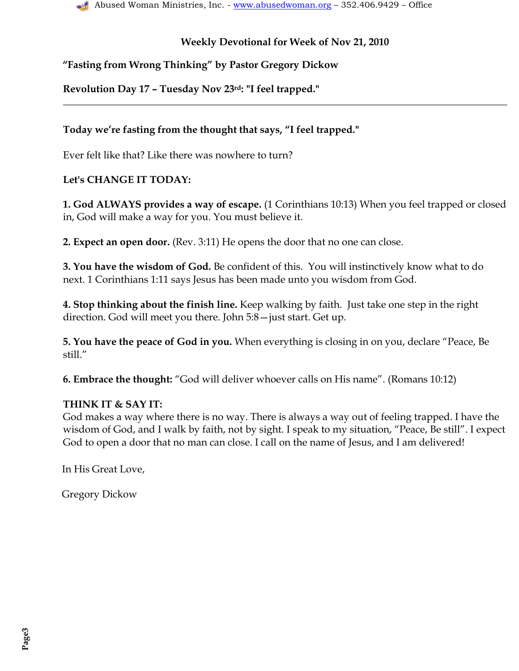# **―Fasting from Wrong Thinking‖ by Pastor Gregory Dickow**

**Revolution Day 17 – Tuesday Nov 23rd: "I feel trapped."**

### Today we're fasting from the thought that says, "I feel trapped."

Ever felt like that? Like there was nowhere to turn?

## **Let's CHANGE IT TODAY:**

**1. God ALWAYS provides a way of escape.** (1 Corinthians 10:13) When you feel trapped or closed in, God will make a way for you. You must believe it.

**2. Expect an open door.** (Rev. 3:11) He opens the door that no one can close.

**3. You have the wisdom of God.** Be confident of this. You will instinctively know what to do next. 1 Corinthians 1:11 says Jesus has been made unto you wisdom from God.

**4. Stop thinking about the finish line.** Keep walking by faith. Just take one step in the right direction. God will meet you there. John 5:8—just start. Get up.

**5. You have the peace of God in you.** When everything is closing in on you, declare "Peace, Be still."

**6. Embrace the thought:** "God will deliver whoever calls on His name". (Romans 10:12)

#### **THINK IT & SAY IT:**

God makes a way where there is no way. There is always a way out of feeling trapped. I have the wisdom of God, and I walk by faith, not by sight. I speak to my situation, "Peace, Be still". I expect God to open a door that no man can close. I call on the name of Jesus, and I am delivered!

In His Great Love,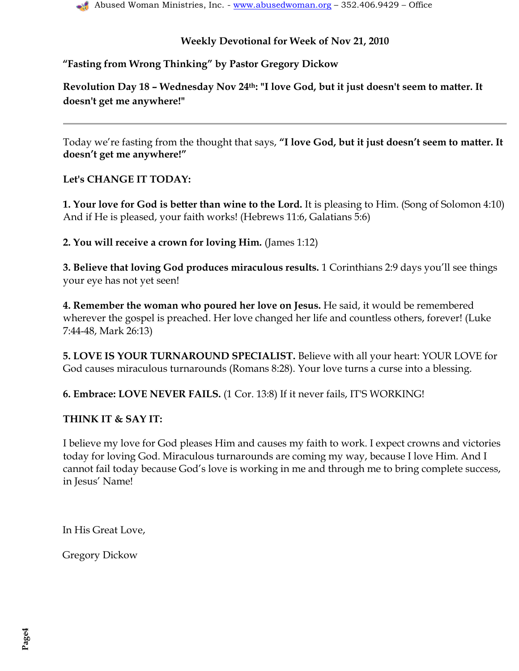## **―Fasting from Wrong Thinking‖ by Pastor Gregory Dickow**

**Revolution Day 18 – Wednesday Nov 24th: "I love God, but it just doesn't seem to matter. It doesn't get me anywhere!"**

Today we're fasting from the thought that says, "I love God, but it just doesn't seem to matter. It **doesn't get me anywhere!‖**

## **Let's CHANGE IT TODAY:**

**1. Your love for God is better than wine to the Lord.** It is pleasing to Him. (Song of Solomon 4:10) And if He is pleased, your faith works! (Hebrews 11:6, Galatians 5:6)

**2. You will receive a crown for loving Him.** (James 1:12)

**3. Believe that loving God produces miraculous results.** 1 Corinthians 2:9 days you"ll see things your eye has not yet seen!

**4. Remember the woman who poured her love on Jesus.** He said, it would be remembered wherever the gospel is preached. Her love changed her life and countless others, forever! (Luke 7:44-48, Mark 26:13)

**5. LOVE IS YOUR TURNAROUND SPECIALIST.** Believe with all your heart: YOUR LOVE for God causes miraculous turnarounds (Romans 8:28). Your love turns a curse into a blessing.

**6. Embrace: LOVE NEVER FAILS.** (1 Cor. 13:8) If it never fails, IT'S WORKING!

#### **THINK IT & SAY IT:**

I believe my love for God pleases Him and causes my faith to work. I expect crowns and victories today for loving God. Miraculous turnarounds are coming my way, because I love Him. And I cannot fail today because God"s love is working in me and through me to bring complete success, in Jesus' Name!

In His Great Love,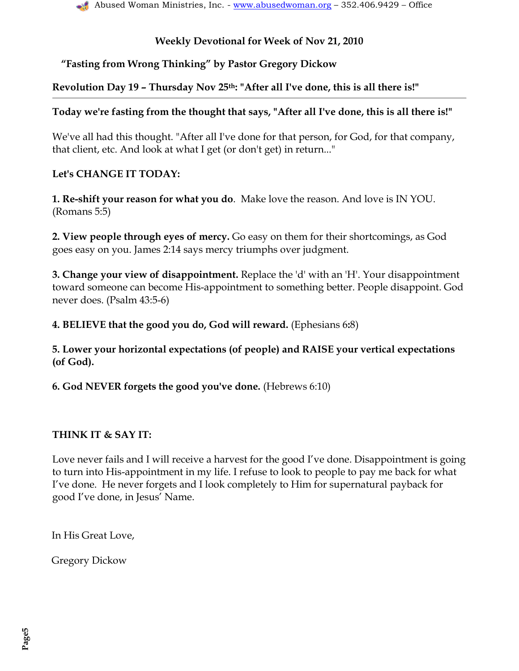## **―Fasting from Wrong Thinking‖ by Pastor Gregory Dickow**

### **Revolution Day 19 – Thursday Nov 25th: "After all I've done, this is all there is!"**

### **Today we're fasting from the thought that says, "After all I've done, this is all there is!"**

We've all had this thought. "After all I've done for that person, for God, for that company, that client, etc. And look at what I get (or don't get) in return..."

### **Let's CHANGE IT TODAY:**

**1. Re-shift your reason for what you do**. Make love the reason. And love is IN YOU. (Romans 5:5)

**2. View people through eyes of mercy.** Go easy on them for their shortcomings, as God goes easy on you. James 2:14 says mercy triumphs over judgment.

**3. Change your view of disappointment.** Replace the 'd' with an 'H'. Your disappointment toward someone can become His-appointment to something better. People disappoint. God never does. (Psalm 43:5-6)

**4. BELIEVE that the good you do, God will reward.** (Ephesians 6**:**8)

**5. Lower your horizontal expectations (of people) and RAISE your vertical expectations (of God).**

**6. God NEVER forgets the good you've done.** (Hebrews 6:10)

# **THINK IT & SAY IT:**

Love never fails and I will receive a harvest for the good I've done. Disappointment is going to turn into His-appointment in my life. I refuse to look to people to pay me back for what I"ve done. He never forgets and I look completely to Him for supernatural payback for good I"ve done, in Jesus" Name.

In His Great Love,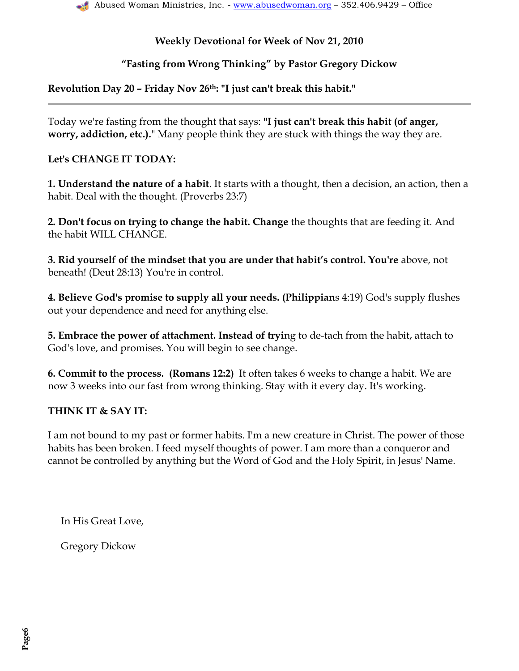## **―Fasting from Wrong Thinking‖ by Pastor Gregory Dickow**

## **Revolution Day 20 – Friday Nov 26th: "I just can't break this habit."**

Today we're fasting from the thought that says: **"I just can't break this habit (of anger, worry, addiction, etc.).**" Many people think they are stuck with things the way they are.

#### **Let's CHANGE IT TODAY:**

**1. Understand the nature of a habit**. It starts with a thought, then a decision, an action, then a habit. Deal with the thought. (Proverbs 23:7)

**2. Don't focus on trying to change the habit. Change** the thoughts that are feeding it. And the habit WILL CHANGE.

**3. Rid yourself of the mindset that you are under that habit's control. You're** above, not beneath! (Deut 28:13) You're in control.

**4. Believe God's promise to supply all your needs. (Philippian**s 4:19) God's supply flushes out your dependence and need for anything else.

**5. Embrace the power of attachment. Instead of tryi**ng to de-tach from the habit, attach to God's love, and promises. You will begin to see change.

**6. Commit to t**h**e process. (Romans 12:2)** It often takes 6 weeks to change a habit. We are now 3 weeks into our fast from wrong thinking. Stay with it every day. It's working.

#### **THINK IT & SAY IT:**

I am not bound to my past or former habits. I'm a new creature in Christ. The power of those habits has been broken. I feed myself thoughts of power. I am more than a conqueror and cannot be controlled by anything but the Word of God and the Holy Spirit, in Jesus' Name.

In His Great Love,